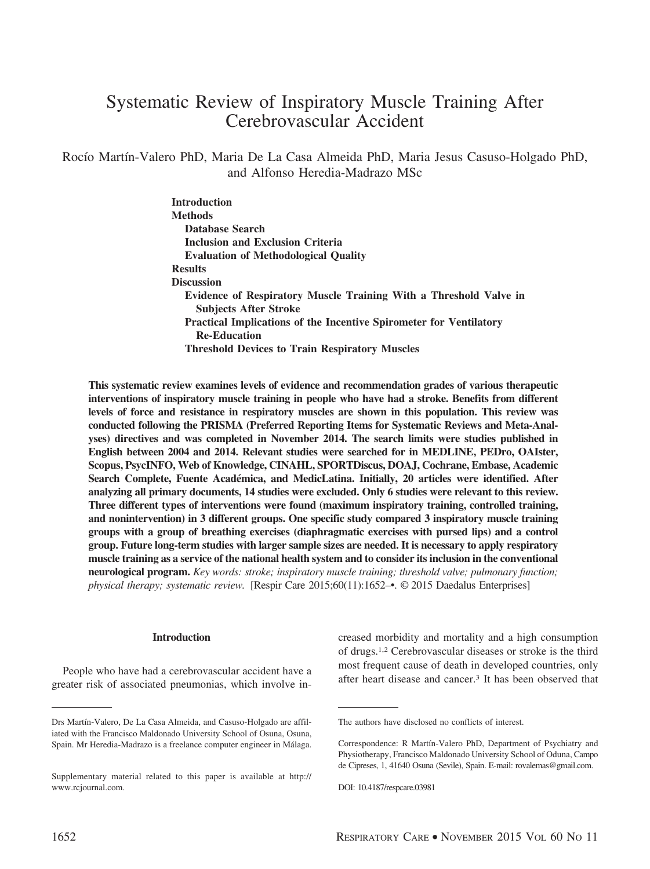# Systematic Review of Inspiratory Muscle Training After Cerebrovascular Accident

Rocío Martín-Valero PhD, Maria De La Casa Almeida PhD, Maria Jesus Casuso-Holgado PhD, and Alfonso Heredia-Madrazo MSc

> **Introduction Methods Database Search Inclusion and Exclusion Criteria Evaluation of Methodological Quality Results Discussion Evidence of Respiratory Muscle Training With a Threshold Valve in Subjects After Stroke Practical Implications of the Incentive Spirometer for Ventilatory Re-Education Threshold Devices to Train Respiratory Muscles**

**This systematic review examines levels of evidence and recommendation grades of various therapeutic interventions of inspiratory muscle training in people who have had a stroke. Benefits from different levels of force and resistance in respiratory muscles are shown in this population. This review was conducted following the PRISMA (Preferred Reporting Items for Systematic Reviews and Meta-Analyses) directives and was completed in November 2014. The search limits were studies published in English between 2004 and 2014. Relevant studies were searched for in MEDLINE, PEDro, OAIster, Scopus, PsycINFO, Web of Knowledge, CINAHL, SPORTDiscus, DOAJ, Cochrane, Embase, Academic** Search Complete, Fuente Académica, and MedicLatina. Initially, 20 articles were identified. After **analyzing all primary documents, 14 studies were excluded. Only 6 studies were relevant to this review. Three different types of interventions were found (maximum inspiratory training, controlled training, and nonintervention) in 3 different groups. One specific study compared 3 inspiratory muscle training groups with a group of breathing exercises (diaphragmatic exercises with pursed lips) and a control group. Future long-term studies with larger sample sizes are needed. It is necessary to apply respiratory muscle training as a service of the national health system and to consider its inclusion in the conventional neurological program.** *Key words: stroke; inspiratory muscle training; threshold valve; pulmonary function; physical therapy; systematic review.* [Respir Care 2015;60(11):1652–•. © 2015 Daedalus Enterprises]

#### **Introduction**

People who have had a cerebrovascular accident have a greater risk of associated pneumonias, which involve increased morbidity and mortality and a high consumption of drugs.1,2 Cerebrovascular diseases or stroke is the third most frequent cause of death in developed countries, only after heart disease and cancer.3 It has been observed that

Drs Martín-Valero, De La Casa Almeida, and Casuso-Holgado are affiliated with the Francisco Maldonado University School of Osuna, Osuna, Spain. Mr Heredia-Madrazo is a freelance computer engineer in Málaga.

Supplementary material related to this paper is available at http:// www.rcjournal.com.

The authors have disclosed no conflicts of interest.

Correspondence: R Martín-Valero PhD, Department of Psychiatry and Physiotherapy, Francisco Maldonado University School of Oduna, Campo de Cipreses, 1, 41640 Osuna (Sevile), Spain. E-mail: rovalemas@gmail.com.

DOI: 10.4187/respcare.03981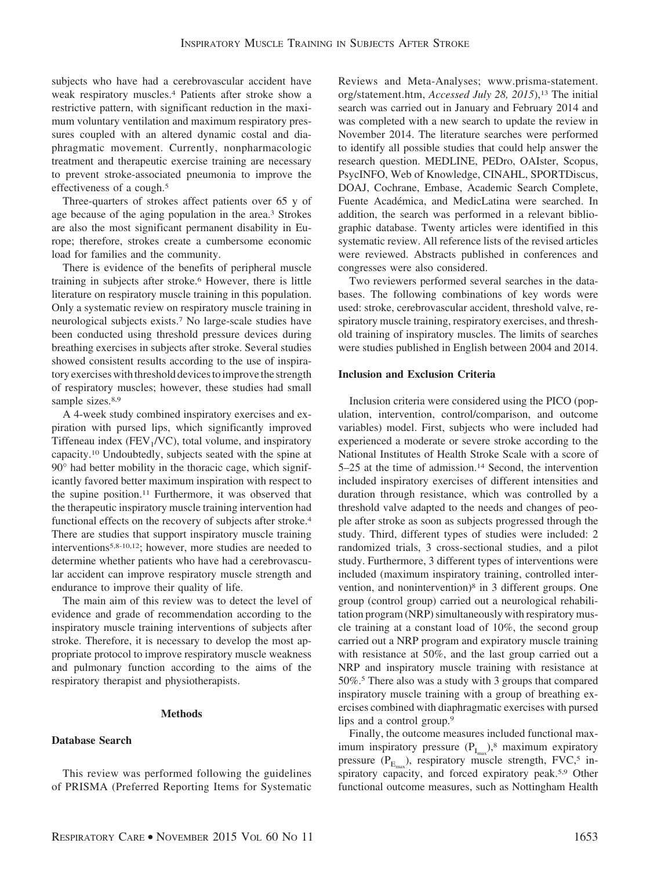subjects who have had a cerebrovascular accident have weak respiratory muscles.4 Patients after stroke show a restrictive pattern, with significant reduction in the maximum voluntary ventilation and maximum respiratory pressures coupled with an altered dynamic costal and diaphragmatic movement. Currently, nonpharmacologic treatment and therapeutic exercise training are necessary to prevent stroke-associated pneumonia to improve the effectiveness of a cough.<sup>5</sup>

Three-quarters of strokes affect patients over 65 y of age because of the aging population in the area.<sup>3</sup> Strokes are also the most significant permanent disability in Europe; therefore, strokes create a cumbersome economic load for families and the community.

There is evidence of the benefits of peripheral muscle training in subjects after stroke.6 However, there is little literature on respiratory muscle training in this population. Only a systematic review on respiratory muscle training in neurological subjects exists.7 No large-scale studies have been conducted using threshold pressure devices during breathing exercises in subjects after stroke. Several studies showed consistent results according to the use of inspiratory exercises with threshold devices to improve the strength of respiratory muscles; however, these studies had small sample sizes.<sup>8,9</sup>

A 4-week study combined inspiratory exercises and expiration with pursed lips, which significantly improved Tiffeneau index ( $FEV<sub>1</sub>/VC$ ), total volume, and inspiratory capacity.10 Undoubtedly, subjects seated with the spine at 90° had better mobility in the thoracic cage, which significantly favored better maximum inspiration with respect to the supine position.11 Furthermore, it was observed that the therapeutic inspiratory muscle training intervention had functional effects on the recovery of subjects after stroke.<sup>4</sup> There are studies that support inspiratory muscle training interventions5,8-10,12; however, more studies are needed to determine whether patients who have had a cerebrovascular accident can improve respiratory muscle strength and endurance to improve their quality of life.

The main aim of this review was to detect the level of evidence and grade of recommendation according to the inspiratory muscle training interventions of subjects after stroke. Therefore, it is necessary to develop the most appropriate protocol to improve respiratory muscle weakness and pulmonary function according to the aims of the respiratory therapist and physiotherapists.

#### **Methods**

## **Database Search**

This review was performed following the guidelines of PRISMA (Preferred Reporting Items for Systematic Reviews and Meta-Analyses; [www.prisma-statement.](http://www.prisma-statement.org/statement.htm) [org/statement.htm,](http://www.prisma-statement.org/statement.htm) *Accessed July 28*, 2015),<sup>13</sup> The initial search was carried out in January and February 2014 and was completed with a new search to update the review in November 2014. The literature searches were performed to identify all possible studies that could help answer the research question. MEDLINE, PEDro, OAIster, Scopus, PsycINFO, Web of Knowledge, CINAHL, SPORTDiscus, DOAJ, Cochrane, Embase, Academic Search Complete, Fuente Académica, and MedicLatina were searched. In addition, the search was performed in a relevant bibliographic database. Twenty articles were identified in this systematic review. All reference lists of the revised articles were reviewed. Abstracts published in conferences and congresses were also considered.

Two reviewers performed several searches in the databases. The following combinations of key words were used: stroke, cerebrovascular accident, threshold valve, respiratory muscle training, respiratory exercises, and threshold training of inspiratory muscles. The limits of searches were studies published in English between 2004 and 2014.

# **Inclusion and Exclusion Criteria**

Inclusion criteria were considered using the PICO (population, intervention, control/comparison, and outcome variables) model. First, subjects who were included had experienced a moderate or severe stroke according to the National Institutes of Health Stroke Scale with a score of 5–25 at the time of admission.14 Second, the intervention included inspiratory exercises of different intensities and duration through resistance, which was controlled by a threshold valve adapted to the needs and changes of people after stroke as soon as subjects progressed through the study. Third, different types of studies were included: 2 randomized trials, 3 cross-sectional studies, and a pilot study. Furthermore, 3 different types of interventions were included (maximum inspiratory training, controlled intervention, and nonintervention)8 in 3 different groups. One group (control group) carried out a neurological rehabilitation program (NRP) simultaneously with respiratory muscle training at a constant load of 10%, the second group carried out a NRP program and expiratory muscle training with resistance at 50%, and the last group carried out a NRP and inspiratory muscle training with resistance at 50%.5 There also was a study with 3 groups that compared inspiratory muscle training with a group of breathing exercises combined with diaphragmatic exercises with pursed lips and a control group.9

Finally, the outcome measures included functional maximum inspiratory pressure  $(P_{I_{max}})$ ,<sup>8</sup> maximum expiratory pressure ( $P_{E_{\text{max}}}$ ), respiratory muscle strength, FVC,<sup>5</sup> inspiratory capacity, and forced expiratory peak.<sup>5,9</sup> Other functional outcome measures, such as Nottingham Health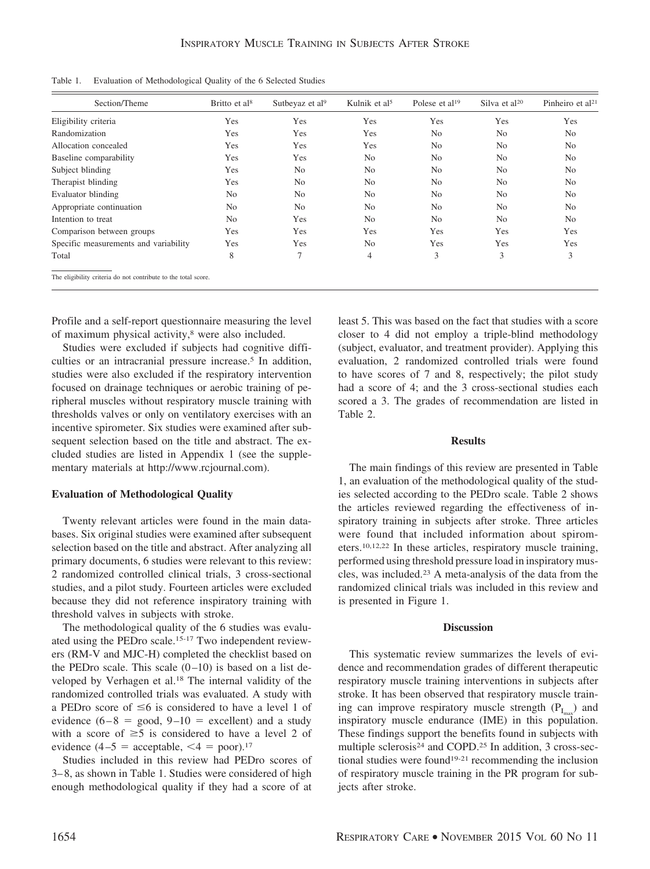| Table 1. |  | Evaluation of Methodological Quality of the 6 Selected Studies |  |  |  |  |  |
|----------|--|----------------------------------------------------------------|--|--|--|--|--|
|----------|--|----------------------------------------------------------------|--|--|--|--|--|

| Section/Theme                                                  | Britto et al <sup>8</sup> | Sutbeyaz et al <sup>9</sup> | Kulnik et al <sup>5</sup> | Polese et al <sup>19</sup> | Silva et $al^{20}$ | Pinheiro et al $21$ |
|----------------------------------------------------------------|---------------------------|-----------------------------|---------------------------|----------------------------|--------------------|---------------------|
| Eligibility criteria                                           | Yes                       | Yes                         | Yes                       | Yes                        | Yes                | Yes                 |
| Randomization                                                  | Yes                       | Yes                         | Yes                       | N <sub>o</sub>             | N <sub>o</sub>     | N <sub>o</sub>      |
| Allocation concealed                                           | Yes                       | Yes                         | Yes                       | N <sub>o</sub>             | N <sub>0</sub>     | N <sub>o</sub>      |
| Baseline comparability                                         | Yes                       | Yes                         | N <sub>0</sub>            | N <sub>o</sub>             | N <sub>o</sub>     | N <sub>o</sub>      |
| Subject blinding                                               | Yes                       | N <sub>o</sub>              | N <sub>0</sub>            | N <sub>0</sub>             | N <sub>o</sub>     | N <sub>o</sub>      |
| Therapist blinding                                             | Yes                       | N <sub>o</sub>              | N <sub>0</sub>            | N <sub>o</sub>             | N <sub>o</sub>     | N <sub>o</sub>      |
| Evaluator blinding                                             | N <sub>0</sub>            | N <sub>o</sub>              | N <sub>0</sub>            | N <sub>o</sub>             | N <sub>o</sub>     | N <sub>o</sub>      |
| Appropriate continuation                                       | No                        | N <sub>o</sub>              | N <sub>0</sub>            | N <sub>0</sub>             | N <sub>o</sub>     | N <sub>0</sub>      |
| Intention to treat                                             | N <sub>o</sub>            | Yes                         | N <sub>0</sub>            | N <sub>o</sub>             | N <sub>o</sub>     | N <sub>o</sub>      |
| Comparison between groups                                      | Yes                       | Yes                         | Yes                       | Yes                        | Yes                | Yes                 |
| Specific measurements and variability                          | Yes                       | Yes                         | N <sub>o</sub>            | Yes                        | Yes                | Yes                 |
| Total                                                          | 8                         | 7                           | $\overline{4}$            | 3                          | 3                  | 3                   |
| The eligibility criteria do not contribute to the total score. |                           |                             |                           |                            |                    |                     |

Profile and a self-report questionnaire measuring the level of maximum physical activity,<sup>8</sup> were also included.

Studies were excluded if subjects had cognitive difficulties or an intracranial pressure increase.<sup>5</sup> In addition, studies were also excluded if the respiratory intervention focused on drainage techniques or aerobic training of peripheral muscles without respiratory muscle training with thresholds valves or only on ventilatory exercises with an incentive spirometer. Six studies were examined after subsequent selection based on the title and abstract. The excluded studies are listed in Appendix 1 (see the supplementary materials at http://www.rcjournal.com).

## **Evaluation of Methodological Quality**

Twenty relevant articles were found in the main databases. Six original studies were examined after subsequent selection based on the title and abstract. After analyzing all primary documents, 6 studies were relevant to this review: 2 randomized controlled clinical trials, 3 cross-sectional studies, and a pilot study. Fourteen articles were excluded because they did not reference inspiratory training with threshold valves in subjects with stroke.

The methodological quality of the 6 studies was evaluated using the PEDro scale.15-17 Two independent reviewers (RM-V and MJC-H) completed the checklist based on the PEDro scale. This scale  $(0-10)$  is based on a list developed by Verhagen et al.18 The internal validity of the randomized controlled trials was evaluated. A study with a PEDro score of  $\leq 6$  is considered to have a level 1 of evidence  $(6-8 = \text{good}, 9-10 = \text{excellent})$  and a study with a score of  $\geq$ 5 is considered to have a level 2 of evidence  $(4-5 = \text{acceptable}, \leq 4 = \text{poor}).^{17}$ 

Studies included in this review had PEDro scores of 3–8, as shown in Table 1. Studies were considered of high enough methodological quality if they had a score of at

least 5. This was based on the fact that studies with a score closer to 4 did not employ a triple-blind methodology (subject, evaluator, and treatment provider). Applying this evaluation, 2 randomized controlled trials were found to have scores of 7 and 8, respectively; the pilot study had a score of 4; and the 3 cross-sectional studies each scored a 3. The grades of recommendation are listed in Table 2.

#### **Results**

The main findings of this review are presented in Table 1, an evaluation of the methodological quality of the studies selected according to the PEDro scale. Table 2 shows the articles reviewed regarding the effectiveness of inspiratory training in subjects after stroke. Three articles were found that included information about spirometers.10,12,22 In these articles, respiratory muscle training, performed using threshold pressure load in inspiratory muscles, was included.23 A meta-analysis of the data from the randomized clinical trials was included in this review and is presented in Figure 1.

## **Discussion**

This systematic review summarizes the levels of evidence and recommendation grades of different therapeutic respiratory muscle training interventions in subjects after stroke. It has been observed that respiratory muscle training can improve respiratory muscle strength  $(P<sub>I</sub>$ ) and inspiratory muscle endurance (IME) in this population. These findings support the benefits found in subjects with multiple sclerosis<sup>24</sup> and COPD.<sup>25</sup> In addition, 3 cross-sectional studies were found19-21 recommending the inclusion of respiratory muscle training in the PR program for subjects after stroke.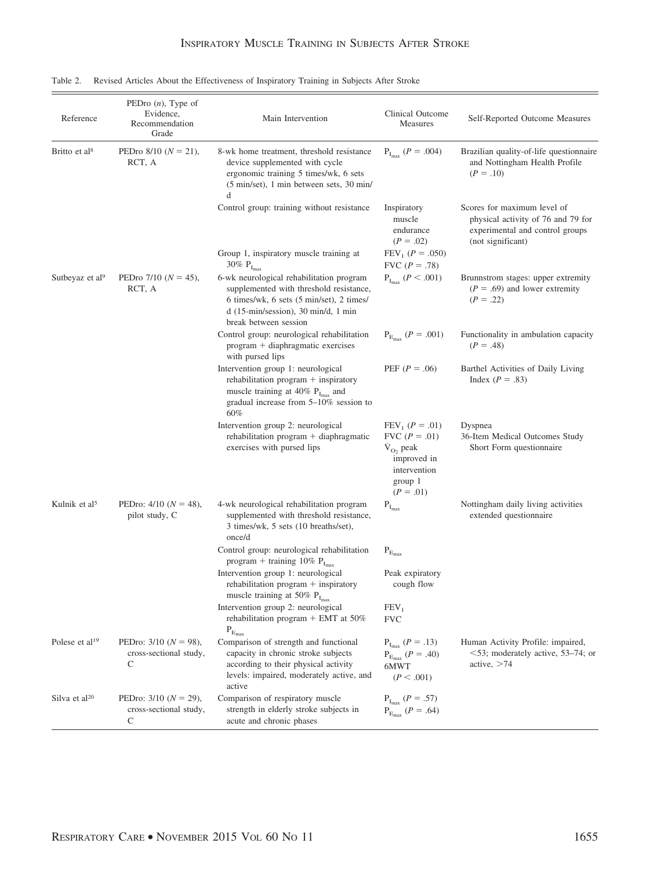| Reference                   | PEDro $(n)$ , Type of<br>Evidence,<br>Recommendation<br>Grade | Main Intervention                                                                                                                                                                                        | Clinical Outcome<br>Measures                                                                                      | Self-Reported Outcome Measures                                                                                            |
|-----------------------------|---------------------------------------------------------------|----------------------------------------------------------------------------------------------------------------------------------------------------------------------------------------------------------|-------------------------------------------------------------------------------------------------------------------|---------------------------------------------------------------------------------------------------------------------------|
| Britto et al <sup>8</sup>   | PEDro $8/10$ ( $N = 21$ ),<br>RCT, A                          | 8-wk home treatment, threshold resistance<br>device supplemented with cycle<br>ergonomic training 5 times/wk, 6 sets<br>(5 min/set), 1 min between sets, 30 min/<br>d                                    | $P_{I_{max}} (P = .004)$                                                                                          | Brazilian quality-of-life questionnaire<br>and Nottingham Health Profile<br>$(P=.10)$                                     |
|                             |                                                               | Control group: training without resistance                                                                                                                                                               | Inspiratory<br>muscle<br>endurance<br>$(P=.02)$                                                                   | Scores for maximum level of<br>physical activity of 76 and 79 for<br>experimental and control groups<br>(not significant) |
|                             |                                                               | Group 1, inspiratory muscle training at<br>30% $P_{I_{max}}$                                                                                                                                             | $FEV_1 (P = .050)$<br>FVC $(P = .78)$                                                                             |                                                                                                                           |
| Sutbeyaz et al <sup>9</sup> | PEDro $7/10$ ( $N = 45$ ),<br>RCT, A                          | 6-wk neurological rehabilitation program<br>supplemented with threshold resistance,<br>6 times/wk, 6 sets (5 min/set), 2 times/<br>$d(15-min/\text{session})$ , 30 min/d, 1 min<br>break between session | $P_{I_{max}}$ ( $P < .001$ )                                                                                      | Brunnstrom stages: upper extremity<br>$(P = .69)$ and lower extremity<br>$(P = .22)$                                      |
|                             |                                                               | Control group: neurological rehabilitation<br>program + diaphragmatic exercises<br>with pursed lips                                                                                                      | $P_{E_{max}} (P = .001)$                                                                                          | Functionality in ambulation capacity<br>$(P = .48)$                                                                       |
|                             |                                                               | Intervention group 1: neurological<br>rehabilitation program + inspiratory<br>muscle training at 40% $P_{I_{max}}$ and<br>gradual increase from $5-10\%$ session to<br>60%                               | PEF $(P = .06)$                                                                                                   | Barthel Activities of Daily Living<br>Index $(P=.83)$                                                                     |
|                             |                                                               | Intervention group 2: neurological<br>rehabilitation program $+$ diaphragmatic<br>exercises with pursed lips                                                                                             | $FEV_1 (P = .01)$<br>FVC $(P=.01)$<br>$\dot{V}_{O_2}$ peak<br>improved in<br>intervention<br>group 1<br>$(P=.01)$ | Dyspnea<br>36-Item Medical Outcomes Study<br>Short Form questionnaire                                                     |
| Kulnik et al <sup>5</sup>   | PEDro: $4/10$ ( $N = 48$ ),<br>pilot study, C                 | 4-wk neurological rehabilitation program<br>supplemented with threshold resistance,<br>3 times/wk, 5 sets (10 breaths/set),<br>once/d                                                                    | $\mathbf{P}_{\mathrm{I}_{\mathrm{max}}}$                                                                          | Nottingham daily living activities<br>extended questionnaire                                                              |
|                             |                                                               | Control group: neurological rehabilitation<br>program + training 10% $P_{I_{max}}$                                                                                                                       | $\mathbf{P}_{\text{E}_{\text{max}}}$                                                                              |                                                                                                                           |
|                             |                                                               | Intervention group 1: neurological<br>rehabilitation program $+$ inspiratory<br>muscle training at 50% $P_{I_{max}}$                                                                                     | Peak expiratory<br>cough flow                                                                                     |                                                                                                                           |
|                             |                                                               | Intervention group 2: neurological<br>rehabilitation program + EMT at $50\%$<br>$\mathbf{P}_{\text{E}_{\text{max}}}$                                                                                     | FEV <sub>1</sub><br><b>FVC</b>                                                                                    |                                                                                                                           |
| Polese et al <sup>19</sup>  | PEDro: $3/10$ ( $N = 98$ ),<br>cross-sectional study,<br>C    | Comparison of strength and functional<br>capacity in chronic stroke subjects<br>according to their physical activity<br>levels: impaired, moderately active, and<br>active                               | $P_{I_{max}} (P = .13)$<br>$P_{E_{max}} (P = .40)$<br>6MWT<br>(P < .001)                                          | Human Activity Profile: impaired,<br>$<$ 53; moderately active, 53–74; or<br>active, $>74$                                |
| Silva et al <sup>20</sup>   | PEDro: $3/10$ ( $N = 29$ ),<br>cross-sectional study,<br>C    | Comparison of respiratory muscle<br>strength in elderly stroke subjects in<br>acute and chronic phases                                                                                                   | $\rm P_{I_{max}}$ $(P=.57)$<br>$P_{E_{max}} (P = .64)$                                                            |                                                                                                                           |

Table 2. Revised Articles About the Effectiveness of Inspiratory Training in Subjects After Stroke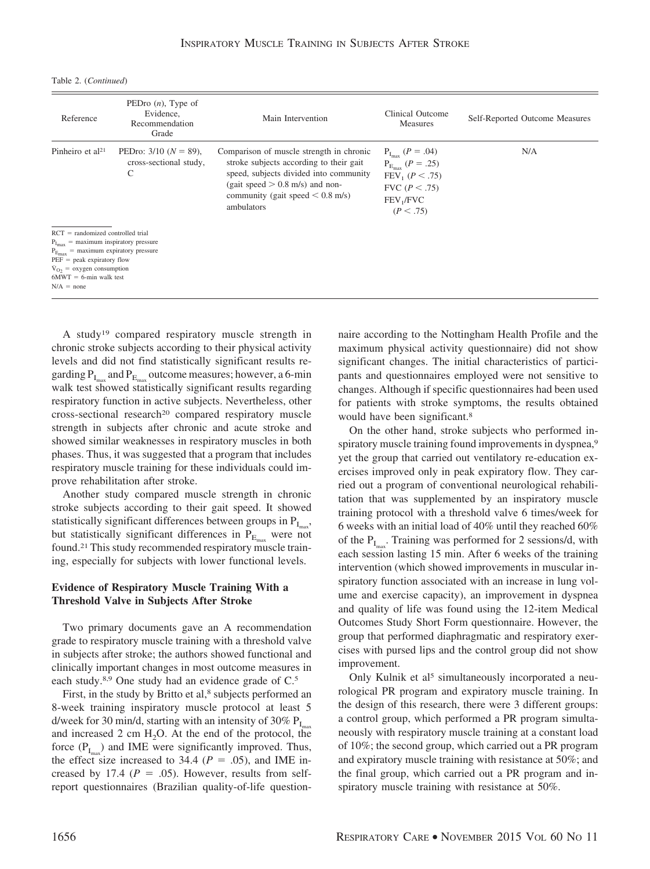Table 2. (*Continued*)

| Reference                                                                                                                                                                                                                                                      | PEDro $(n)$ , Type of<br>Evidence,<br>Recommendation<br>Grade | Main Intervention                                                                                                                                                                                                      | Clinical Outcome<br>Measures                                                                                                         | Self-Reported Outcome Measures |
|----------------------------------------------------------------------------------------------------------------------------------------------------------------------------------------------------------------------------------------------------------------|---------------------------------------------------------------|------------------------------------------------------------------------------------------------------------------------------------------------------------------------------------------------------------------------|--------------------------------------------------------------------------------------------------------------------------------------|--------------------------------|
| Pinheiro et al $21$                                                                                                                                                                                                                                            | PEDro: $3/10$ ( $N = 89$ ),<br>cross-sectional study,<br>C    | Comparison of muscle strength in chronic<br>stroke subjects according to their gait<br>speed, subjects divided into community<br>(gait speed $> 0.8$ m/s) and non-<br>community (gait speed $< 0.8$ m/s)<br>ambulators | $P_{I_{\text{max}}}(P=.04)$<br>$P_{E_{max}} (P = .25)$<br>$FEV_1 (P < .75)$<br>FVC $(P < .75)$<br>FEV <sub>1</sub> /FVC<br>(P < .75) | N/A                            |
| $RCT = randomized controlled trial$<br>$P_{I_{max}}$ = maximum inspiratory pressure<br>$P_{E_{\text{max}}}$ = maximum expiratory pressure<br>$PEF = peak$ expiratory flow<br>$\dot{V}_{O_2}$ = oxygen consumption<br>$6MWT = 6$ -min walk test<br>$N/A = none$ |                                                               |                                                                                                                                                                                                                        |                                                                                                                                      |                                |

A study19 compared respiratory muscle strength in chronic stroke subjects according to their physical activity levels and did not find statistically significant results regarding  $P_1$  and  $P_E$  outcome measures; however, a 6-min walk test showed statistically significant results regarding respiratory function in active subjects. Nevertheless, other cross-sectional research<sup>20</sup> compared respiratory muscle strength in subjects after chronic and acute stroke and showed similar weaknesses in respiratory muscles in both phases. Thus, it was suggested that a program that includes respiratory muscle training for these individuals could improve rehabilitation after stroke.

Another study compared muscle strength in chronic stroke subjects according to their gait speed. It showed statistically significant differences between groups in  $P_{I_{\text{max}}}$ , but statistically significant differences in  $P_{E_{\text{max}}}$  were not found.21 This study recommended respiratory muscle training, especially for subjects with lower functional levels.

# **Evidence of Respiratory Muscle Training With a Threshold Valve in Subjects After Stroke**

Two primary documents gave an A recommendation grade to respiratory muscle training with a threshold valve in subjects after stroke; the authors showed functional and clinically important changes in most outcome measures in each study.8,9 One study had an evidence grade of C.5

First, in the study by Britto et al,<sup>8</sup> subjects performed an 8-week training inspiratory muscle protocol at least 5 d/week for 30 min/d, starting with an intensity of 30%  $P_{I_{\text{max}}}$ and increased 2 cm  $H_2O$ . At the end of the protocol, the force  $(P_{I_m})$  and IME were significantly improved. Thus, the effect size increased to 34.4 ( $P = .05$ ), and IME increased by 17.4 ( $P = .05$ ). However, results from selfreport questionnaires (Brazilian quality-of-life questionnaire according to the Nottingham Health Profile and the maximum physical activity questionnaire) did not show significant changes. The initial characteristics of participants and questionnaires employed were not sensitive to changes. Although if specific questionnaires had been used for patients with stroke symptoms, the results obtained would have been significant.<sup>8</sup>

On the other hand, stroke subjects who performed inspiratory muscle training found improvements in dyspnea,<sup>9</sup> yet the group that carried out ventilatory re-education exercises improved only in peak expiratory flow. They carried out a program of conventional neurological rehabilitation that was supplemented by an inspiratory muscle training protocol with a threshold valve 6 times/week for 6 weeks with an initial load of 40% until they reached 60% of the  $P_{I}$ . Training was performed for 2 sessions/d, with each session lasting 15 min. After 6 weeks of the training intervention (which showed improvements in muscular inspiratory function associated with an increase in lung volume and exercise capacity), an improvement in dyspnea and quality of life was found using the 12-item Medical Outcomes Study Short Form questionnaire. However, the group that performed diaphragmatic and respiratory exercises with pursed lips and the control group did not show improvement.

Only Kulnik et al<sup>5</sup> simultaneously incorporated a neurological PR program and expiratory muscle training. In the design of this research, there were 3 different groups: a control group, which performed a PR program simultaneously with respiratory muscle training at a constant load of 10%; the second group, which carried out a PR program and expiratory muscle training with resistance at 50%; and the final group, which carried out a PR program and inspiratory muscle training with resistance at 50%.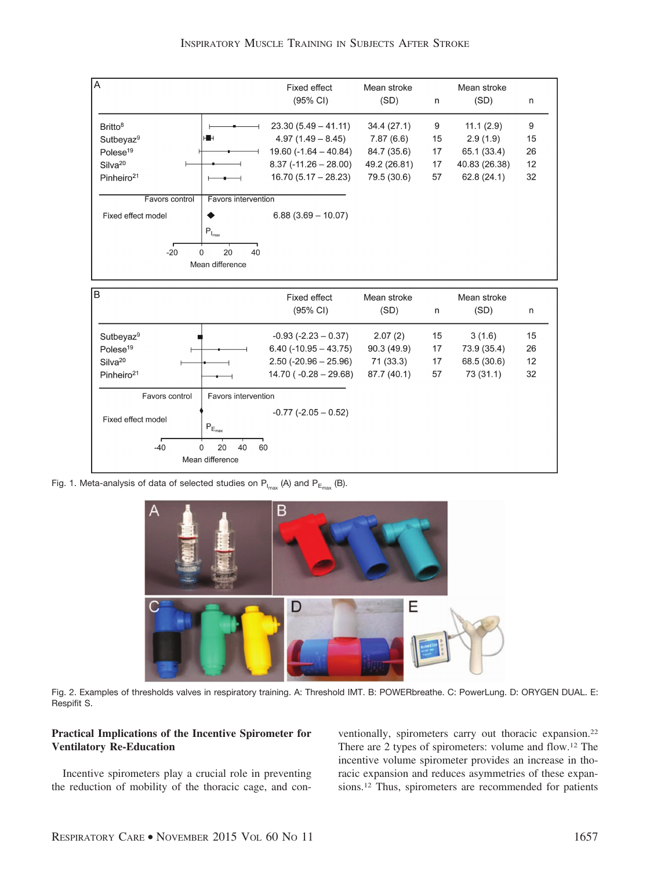

INSPIRATORY MUSCLE TRAINING IN SUBJECTS AFTER STROKE

Fig. 1. Meta-analysis of data of selected studies on  $P_{I_{\text{max}}}$  (A) and  $P_{E_{\text{max}}}$  (B).



Fig. 2. Examples of thresholds valves in respiratory training. A: Threshold IMT. B: POWERbreathe. C: PowerLung. D: ORYGEN DUAL. E: Respifit S.

# **Practical Implications of the Incentive Spirometer for Ventilatory Re-Education**

Incentive spirometers play a crucial role in preventing the reduction of mobility of the thoracic cage, and conventionally, spirometers carry out thoracic expansion.22 There are 2 types of spirometers: volume and flow.12 The incentive volume spirometer provides an increase in thoracic expansion and reduces asymmetries of these expansions.12 Thus, spirometers are recommended for patients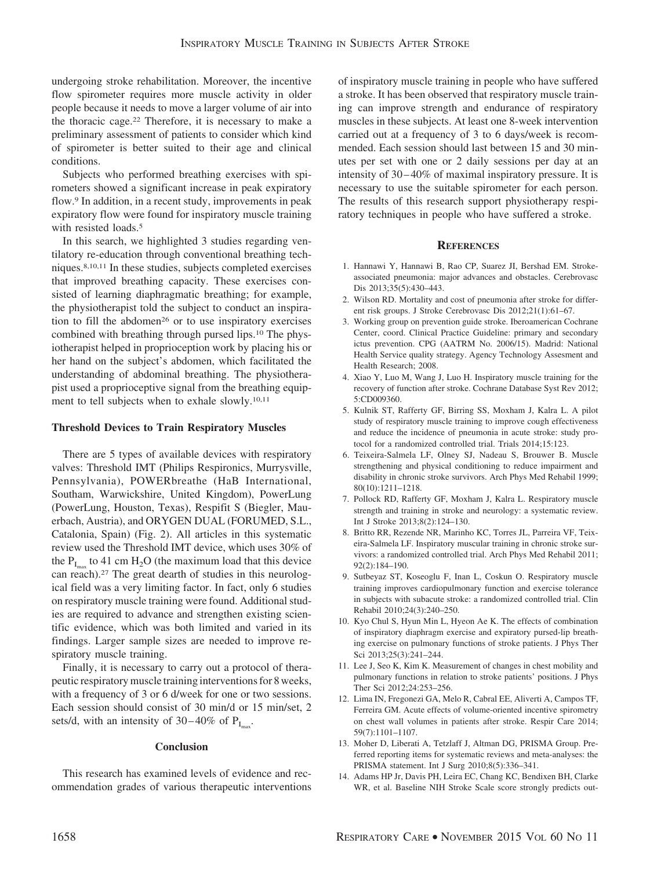undergoing stroke rehabilitation. Moreover, the incentive flow spirometer requires more muscle activity in older people because it needs to move a larger volume of air into the thoracic cage.22 Therefore, it is necessary to make a preliminary assessment of patients to consider which kind of spirometer is better suited to their age and clinical conditions.

Subjects who performed breathing exercises with spirometers showed a significant increase in peak expiratory flow.9 In addition, in a recent study, improvements in peak expiratory flow were found for inspiratory muscle training with resisted loads.<sup>5</sup>

In this search, we highlighted 3 studies regarding ventilatory re-education through conventional breathing techniques.8,10,11 In these studies, subjects completed exercises that improved breathing capacity. These exercises consisted of learning diaphragmatic breathing; for example, the physiotherapist told the subject to conduct an inspiration to fill the abdomen<sup>26</sup> or to use inspiratory exercises combined with breathing through pursed lips.10 The physiotherapist helped in proprioception work by placing his or her hand on the subject's abdomen, which facilitated the understanding of abdominal breathing. The physiotherapist used a proprioceptive signal from the breathing equipment to tell subjects when to exhale slowly.10,11

#### **Threshold Devices to Train Respiratory Muscles**

There are 5 types of available devices with respiratory valves: Threshold IMT (Philips Respironics, Murrysville, Pennsylvania), POWERbreathe (HaB International, Southam, Warwickshire, United Kingdom), PowerLung (PowerLung, Houston, Texas), Respifit S (Biegler, Mauerbach, Austria), and ORYGEN DUAL (FORUMED, S.L., Catalonia, Spain) (Fig. 2). All articles in this systematic review used the Threshold IMT device, which uses 30% of the  $P_{I_{\text{max}}}$  to 41 cm H<sub>2</sub>O (the maximum load that this device can reach).27 The great dearth of studies in this neurological field was a very limiting factor. In fact, only 6 studies on respiratory muscle training were found. Additional studies are required to advance and strengthen existing scientific evidence, which was both limited and varied in its findings. Larger sample sizes are needed to improve respiratory muscle training.

Finally, it is necessary to carry out a protocol of therapeutic respiratory muscle training interventions for 8 weeks, with a frequency of 3 or 6 d/week for one or two sessions. Each session should consist of 30 min/d or 15 min/set, 2 sets/d, with an intensity of  $30-40\%$  of  $P<sub>I</sub>$ .

#### **Conclusion**

This research has examined levels of evidence and recommendation grades of various therapeutic interventions of inspiratory muscle training in people who have suffered a stroke. It has been observed that respiratory muscle training can improve strength and endurance of respiratory muscles in these subjects. At least one 8-week intervention carried out at a frequency of 3 to 6 days/week is recommended. Each session should last between 15 and 30 minutes per set with one or 2 daily sessions per day at an intensity of 30–40% of maximal inspiratory pressure. It is necessary to use the suitable spirometer for each person. The results of this research support physiotherapy respiratory techniques in people who have suffered a stroke.

#### **REFERENCES**

- 1. Hannawi Y, Hannawi B, Rao CP, Suarez JI, Bershad EM. Strokeassociated pneumonia: major advances and obstacles. Cerebrovasc Dis 2013;35(5):430–443.
- 2. Wilson RD. Mortality and cost of pneumonia after stroke for different risk groups. J Stroke Cerebrovasc Dis 2012;21(1):61–67.
- 3. Working group on prevention guide stroke. Iberoamerican Cochrane Center, coord. Clinical Practice Guideline: primary and secondary ictus prevention. CPG (AATRM No. 2006/15). Madrid: National Health Service quality strategy. Agency Technology Assesment and Health Research; 2008.
- 4. Xiao Y, Luo M, Wang J, Luo H. Inspiratory muscle training for the recovery of function after stroke. Cochrane Database Syst Rev 2012; 5:CD009360.
- 5. Kulnik ST, Rafferty GF, Birring SS, Moxham J, Kalra L. A pilot study of respiratory muscle training to improve cough effectiveness and reduce the incidence of pneumonia in acute stroke: study protocol for a randomized controlled trial. Trials 2014;15:123.
- 6. Teixeira-Salmela LF, Olney SJ, Nadeau S, Brouwer B. Muscle strengthening and physical conditioning to reduce impairment and disability in chronic stroke survivors. Arch Phys Med Rehabil 1999; 80(10):1211–1218.
- 7. Pollock RD, Rafferty GF, Moxham J, Kalra L. Respiratory muscle strength and training in stroke and neurology: a systematic review. Int J Stroke 2013;8(2):124–130.
- 8. Britto RR, Rezende NR, Marinho KC, Torres JL, Parreira VF, Teixeira-Salmela LF. Inspiratory muscular training in chronic stroke survivors: a randomized controlled trial. Arch Phys Med Rehabil 2011;  $92(2) \cdot 184 - 190$
- 9. Sutbeyaz ST, Koseoglu F, Inan L, Coskun O. Respiratory muscle training improves cardiopulmonary function and exercise tolerance in subjects with subacute stroke: a randomized controlled trial. Clin Rehabil 2010;24(3):240–250.
- 10. Kyo Chul S, Hyun Min L, Hyeon Ae K. The effects of combination of inspiratory diaphragm exercise and expiratory pursed-lip breathing exercise on pulmonary functions of stroke patients. J Phys Ther Sci 2013;25(3):241–244.
- 11. Lee J, Seo K, Kim K. Measurement of changes in chest mobility and pulmonary functions in relation to stroke patients' positions. J Phys Ther Sci 2012;24:253–256.
- 12. Lima IN, Fregonezi GA, Melo R, Cabral EE, Aliverti A, Campos TF, Ferreira GM. Acute effects of volume-oriented incentive spirometry on chest wall volumes in patients after stroke. Respir Care 2014; 59(7):1101–1107.
- 13. Moher D, Liberati A, Tetzlaff J, Altman DG, PRISMA Group. Preferred reporting items for systematic reviews and meta-analyses: the PRISMA statement. Int J Surg 2010;8(5):336–341.
- 14. Adams HP Jr, Davis PH, Leira EC, Chang KC, Bendixen BH, Clarke WR, et al. Baseline NIH Stroke Scale score strongly predicts out-